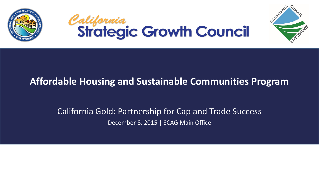





### California Gold: Partnership for Cap and Trade Success December 8, 2015 | SCAG Main Office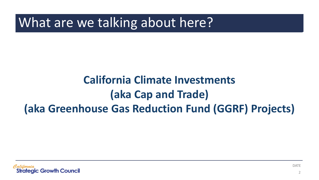What are we talking about here?

## **California Climate Investments (aka Cap and Trade) (aka Greenhouse Gas Reduction Fund (GGRF) Projects)**

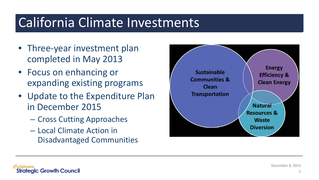# California Climate Investments

- Three-year investment plan completed in May 2013
- Focus on enhancing or expanding existing programs
- Update to the Expenditure Plan in December 2015
	- Cross Cutting Approaches
	- Local Climate Action in Disadvantaged Communities





December 8, 2015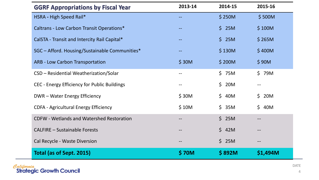| <b>GGRF Appropriations by Fiscal Year</b>        | 2013-14 | 2014-15               | 2015-16             |
|--------------------------------------------------|---------|-----------------------|---------------------|
| HSRA - High Speed Rail*                          |         | \$250M                | \$500M              |
| Caltrans - Low Carbon Transit Operations*        |         | \$25M                 | \$100M              |
| CalSTA - Transit and Intercity Rail Capital*     |         | \$25M                 | \$265M              |
| SGC - Afford. Housing/Sustainable Communities*   |         | \$130M                | \$400M              |
| <b>ARB - Low Carbon Transportation</b>           | \$30M   | \$200M                | \$90M               |
| CSD - Residential Weatherization/Solar           | --      | \$75M                 | \$79M               |
| CEC - Energy Efficiency for Public Buildings     | --      | $\mathsf{S}^-$<br>20M |                     |
| DWR - Water Energy Efficiency                    | \$30M   | \$40M                 | $\mathsf{S}$<br>20M |
| <b>CDFA - Agricultural Energy Efficiency</b>     | \$10M   | \$35M                 | $\zeta$<br>40M      |
| <b>CDFW - Wetlands and Watershed Restoration</b> |         | \$25M                 |                     |
| <b>CALFIRE - Sustainable Forests</b>             |         | \$42M                 |                     |
| Cal Recycle - Waste Diversion                    |         | \$25M                 |                     |
| Total (as of Sept. 2015)                         | \$70M   | \$892M                | \$1,494M            |

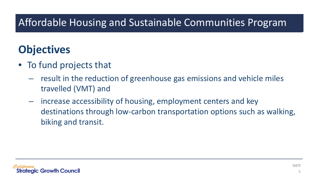## **Objectives**

- To fund projects that
	- result in the reduction of greenhouse gas emissions and vehicle miles travelled (VMT) and
	- increase accessibility of housing, employment centers and key destinations through low-carbon transportation options such as walking, biking and transit.

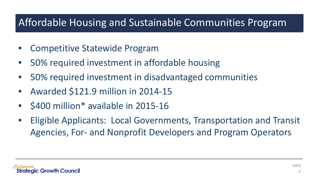- Competitive Statewide Program
- 50% required investment in affordable housing
- 50% required investment in disadvantaged communities
- Awarded \$121.9 million in 2014-15
- \$400 million\* available in 2015-16
- Eligible Applicants: Local Governments, Transportation and Transit Agencies, For- and Nonprofit Developers and Program Operators

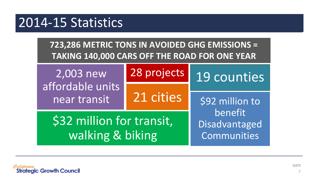# 2014-15 Statistics

**723,286 METRIC TONS IN AVOIDED GHG EMISSIONS = TAKING 140,000 CARS OFF THE ROAD FOR ONE YEAR**

2,003 new affordable units near transit 28 projects 21 cities \$92 million to 19 counties

\$32 million for transit, walking & biking

benefit Disadvantaged Communities

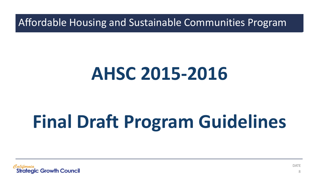# **AHSC 2015-2016**

# **Final Draft Program Guidelines**



DATE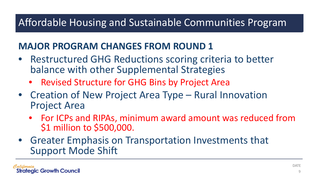### **MAJOR PROGRAM CHANGES FROM ROUND 1**

- Restructured GHG Reductions scoring criteria to better balance with other Supplemental Strategies
	- Revised Structure for GHG Bins by Project Area
- Creation of New Project Area Type Rural Innovation Project Area
	- For ICPs and RIPAs, minimum award amount was reduced from \$1 million to \$500,000.
- Greater Emphasis on Transportation Investments that Support Mode Shift

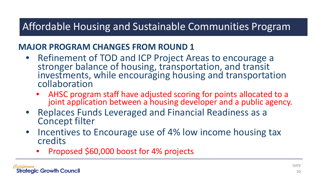#### **MAJOR PROGRAM CHANGES FROM ROUND 1**

- Refinement of TOD and ICP Project Areas to encourage a stronger balance of housing, transportation, and transit investments, while encouraging housing and transportation collaboration
	- AHSC program staff have adjusted scoring for points allocated to a joint application between a housing developer and a public agency.
- Replaces Funds Leveraged and Financial Readiness as a Concept filter
- Incentives to Encourage use of 4% low income housing tax credits
	- Proposed \$60,000 boost for 4% projects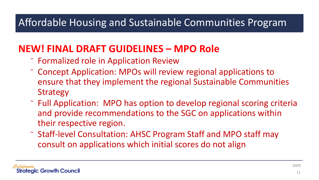### **NEW! FINAL DRAFT GUIDELINES – MPO Role**

- ⁻ Formalized role in Application Review
- ⁻ Concept Application: MPOs will review regional applications to ensure that they implement the regional Sustainable Communities Strategy
- ⁻ Full Application: MPO has option to develop regional scoring criteria and provide recommendations to the SGC on applications within their respective region.
- ⁻ Staff-level Consultation: AHSC Program Staff and MPO staff may consult on applications which initial scores do not align

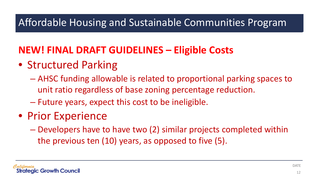### **NEW! FINAL DRAFT GUIDELINES – Eligible Costs**

- Structured Parking
	- AHSC funding allowable is related to proportional parking spaces to unit ratio regardless of base zoning percentage reduction.
	- Future years, expect this cost to be ineligible.
- Prior Experience
	- Developers have to have two (2) similar projects completed within the previous ten (10) years, as opposed to five (5).

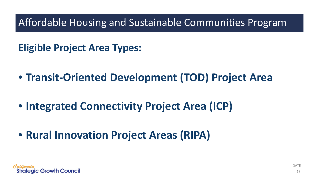**Eligible Project Area Types:**

- **Transit-Oriented Development (TOD) Project Area**
- **Integrated Connectivity Project Area (ICP)**
- **Rural Innovation Project Areas (RIPA)**

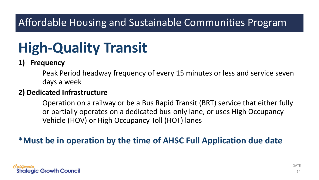# **High-Quality Transit**

#### **1) Frequency**

Peak Period headway frequency of every 15 minutes or less and service seven days a week

#### **2) Dedicated Infrastructure**

Operation on a railway or be a Bus Rapid Transit (BRT) service that either fully or partially operates on a dedicated bus-only lane, or uses High Occupancy Vehicle (HOV) or High Occupancy Toll (HOT) lanes

#### **\*Must be in operation by the time of AHSC Full Application due date**

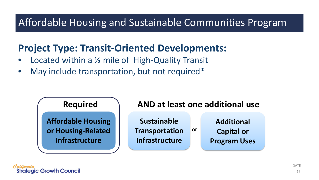### **Project Type: Transit-Oriented Developments:**

- Located within a  $\frac{1}{2}$  mile of High-Quality Transit
- May include transportation, but not required\*



**Additional Capital or Program Uses**

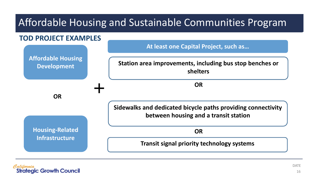

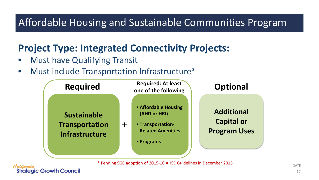### **Project Type: Integrated Connectivity Projects:**

**Must have Qualifying Transit** 

**Strategic Growth Council** 

• Must include Transportation Infrastructure\*



\* Pending SGC adoption of 2015-16 AHSC Guidelines in December 2015

DATE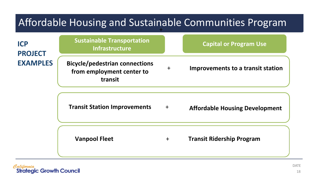| Affordable Housing and Sustainable Communities Program |                                                                               |     |                                          |  |  |
|--------------------------------------------------------|-------------------------------------------------------------------------------|-----|------------------------------------------|--|--|
| <b>ICP</b><br><b>PROJECT</b><br><b>EXAMPLES</b>        | <b>Sustainable Transportation</b><br><b>Infrastructure</b>                    |     | <b>Capital or Program Use</b>            |  |  |
|                                                        | <b>Bicycle/pedestrian connections</b><br>from employment center to<br>transit | $+$ | <b>Improvements to a transit station</b> |  |  |
|                                                        | <b>Transit Station Improvements</b>                                           | $+$ | <b>Affordable Housing Development</b>    |  |  |
|                                                        | <b>Vanpool Fleet</b>                                                          | $+$ | <b>Transit Ridership Program</b>         |  |  |

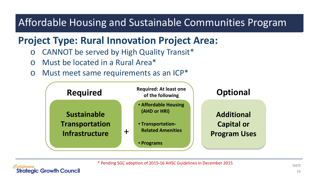### **Project Type: Rural Innovation Project Area:**

- o CANNOT be served by High Quality Transit\*
- o Must be located in a Rural Area\*
- o Must meet same requirements as an ICP\*



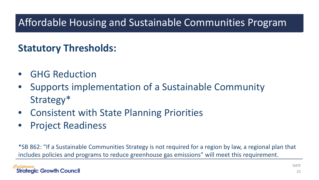### **Statutory Thresholds:**

- GHG Reduction
- Supports implementation of a Sustainable Community Strategy\*
- Consistent with State Planning Priorities
- Project Readiness

\*SB 862: "If a Sustainable Communities Strategy is not required for a region by law, a regional plan that includes policies and programs to reduce greenhouse gas emissions" will meet this requirement.

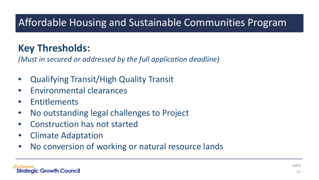### **Key Thresholds:**

*(Must in secured or addressed by the full application deadline)*

- Qualifying Transit/High Quality Transit
- Environmental clearances
- Entitlements
- No outstanding legal challenges to Project
- Construction has not started
- Climate Adaptation
- No conversion of working or natural resource lands

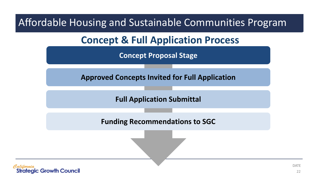**Concept & Full Application Process**

**Concept Proposal Stage**

**Approved Concepts Invited for Full Application**

**Full Application Submittal**

**Funding Recommendations to SGC**

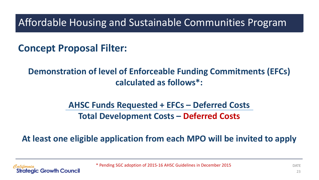### **Concept Proposal Filter:**

### **Demonstration of level of Enforceable Funding Commitments (EFCs) calculated as follows\*:**

### **AHSC Funds Requested + EFCs – Deferred Costs Total Development Costs – Deferred Costs**

#### **At least one eligible application from each MPO will be invited to apply**

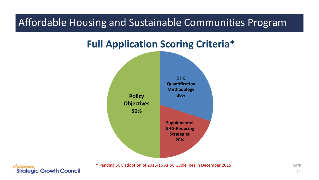### **Full Application Scoring Criteria\***



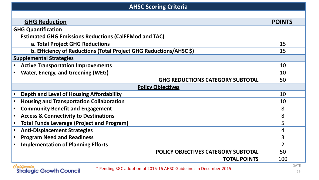#### **AHSC Scoring Criteria GHG Reduction POINTS GHG Quantification Estimated GHG Emissions Reductions (CalEEMod and TAC) a. Total Project GHG Reductions** 15 **b. Efficiency of Reductions (Total Project GHG Reductions/AHSC \$)** 15 **Supplemental Strategies** • **Active Transportation Improvements** 10 • **Water, Energy, and Greening (WEG)** 10 **GHG REDUCTIONS CATEGORY SUBTOTAL** 50 **Policy Objectives Physical Depth and Level of Housing Affordability** 10 • **Housing and Transportation Collaboration** 10 • **Community Benefit and Engagement** 8 • **Access & Connectivity to Destinations** 8 • **Total Funds Leverage (Project and Program)** 5 • **Anti-Displacement Strategies** 4 • **Program Need and Readiness** 3 • **Implementation of Planning Efforts** 2 **POLICY OBJECTIVES CATEGORY SUBTOTAL** 50 **TOTAL POINTS** 100 DATE Palitornia \* Pending SGC adoption of 2015-16 AHSC Guidelines in December 2015

**Strategic Growth Council**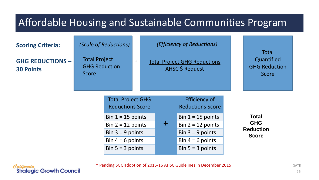

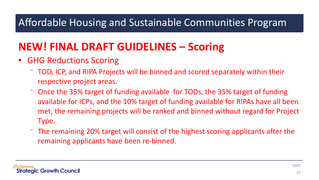### **NEW! FINAL DRAFT GUIDELINES – Scoring**

- GHG Reductions Scoring
	- ⁻ TOD, ICP, and RIPA Projects will be binned and scored separately within their respective project areas.
	- ⁻ Once the 35% target of funding available for TODs, the 35% target of funding available for ICPs, and the 10% target of funding available for RIPAs have all been met, the remaining projects will be ranked and binned without regard for Project Type.
	- ⁻ The remaining 20% target will consist of the highest scoring applicants after the remaining applicants have been re-binned.

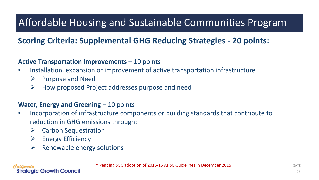#### **Scoring Criteria: Supplemental GHG Reducing Strategies - 20 points:**

#### **Active Transportation Improvements** – 10 points

- Installation, expansion or improvement of active transportation infrastructure
	- $\triangleright$  Purpose and Need
	- $\triangleright$  How proposed Project addresses purpose and need

#### **Water, Energy and Greening – 10 points**

- Incorporation of infrastructure components or building standards that contribute to reduction in GHG emissions through:
	- $\triangleright$  Carbon Sequestration
	- $\triangleright$  Energy Efficiency

**Strategic Growth Council** 

 $\triangleright$  Renewable energy solutions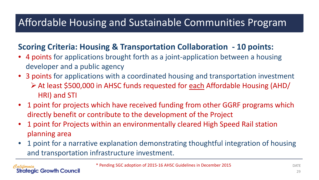#### **Scoring Criteria: Housing & Transportation Collaboration - 10 points:**

- 4 points for applications brought forth as a joint-application between a housing developer and a public agency
- 3 points for applications with a coordinated housing and transportation investment At least \$500,000 in AHSC funds requested for each Affordable Housing (AHD/ HRI) and STI
- 1 point for projects which have received funding from other GGRF programs which directly benefit or contribute to the development of the Project
- 1 point for Projects within an environmentally cleared High Speed Rail station planning area
- 1 point for a narrative explanation demonstrating thoughtful integration of housing and transportation infrastructure investment.

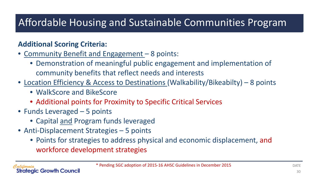#### **Additional Scoring Criteria:**

- Community Benefit and Engagement 8 points:
	- Demonstration of meaningful public engagement and implementation of community benefits that reflect needs and interests
- Location Efficiency & Access to Destinations (Walkability/Bikeabilty) 8 points
	- WalkScore and BikeScore
	- Additional points for Proximity to Specific Critical Services
- Funds Leveraged 5 points

ateaic Growth Council

- Capital and Program funds leveraged
- Anti-Displacement Strategies 5 points
	- Points for strategies to address physical and economic displacement, and workforce development strategies

DATE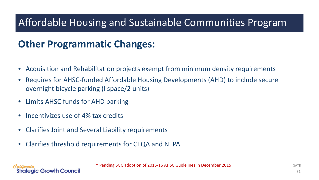### **Other Programmatic Changes:**

- Acquisition and Rehabilitation projects exempt from minimum density requirements
- Requires for AHSC-funded Affordable Housing Developments (AHD) to include secure overnight bicycle parking (I space/2 units)
- Limits AHSC funds for AHD parking
- Incentivizes use of 4% tax credits

ateaic Growth Council

- Clarifies Joint and Several Liability requirements
- Clarifies threshold requirements for CEQA and NEPA

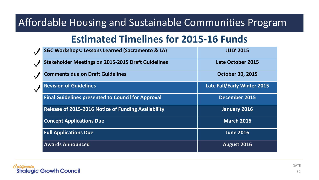### **Estimated Timelines for 2015-16 Funds**

| <b>SGC Workshops: Lessons Learned (Sacramento &amp; LA)</b> | <b>JULY 2015</b>                   |
|-------------------------------------------------------------|------------------------------------|
| <b>Stakeholder Meetings on 2015-2015 Draft Guidelines</b>   | <b>Late October 2015</b>           |
| <b>Comments due on Draft Guidelines</b>                     | <b>October 30, 2015</b>            |
| <b>Revision of Guidelines</b>                               | <b>Late Fall/Early Winter 2015</b> |
| <b>Final Guidelines presented to Council for Approval</b>   | <b>December 2015</b>               |
| <b>Release of 2015-2016 Notice of Funding Availability</b>  | January 2016                       |
| <b>Concept Applications Due</b>                             | <b>March 2016</b>                  |
| <b>Full Applications Due</b>                                | <b>June 2016</b>                   |
| <b>Awards Announced</b>                                     | August 2016                        |

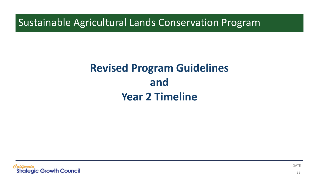# **Revised Program Guidelines and Year 2 Timeline**

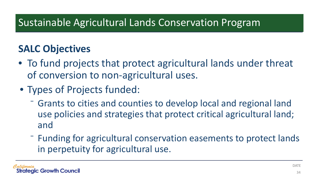### **SALC Objectives**

- To fund projects that protect agricultural lands under threat of conversion to non-agricultural uses.
- Types of Projects funded:
	- ⁻ Grants to cities and counties to develop local and regional land use policies and strategies that protect critical agricultural land; and
	- ⁻ Funding for agricultural conservation easements to protect lands in perpetuity for agricultural use.

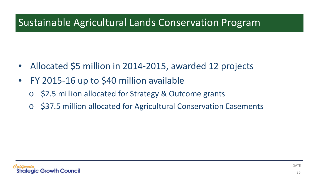- Allocated \$5 million in 2014-2015, awarded 12 projects
- FY 2015-16 up to \$40 million available
	- \$2.5 million allocated for Strategy & Outcome grants
	- \$37.5 million allocated for Agricultural Conservation Easements

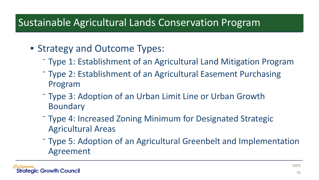- Strategy and Outcome Types:
	- ⁻ Type 1: Establishment of an Agricultural Land Mitigation Program
	- ⁻ Type 2: Establishment of an Agricultural Easement Purchasing Program
	- ⁻ Type 3: Adoption of an Urban Limit Line or Urban Growth Boundary
	- ⁻ Type 4: Increased Zoning Minimum for Designated Strategic Agricultural Areas
	- ⁻ Type 5: Adoption of an Agricultural Greenbelt and Implementation Agreement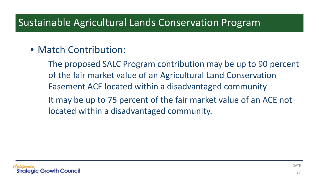### • Match Contribution:

- ⁻ The proposed SALC Program contribution may be up to 90 percent of the fair market value of an Agricultural Land Conservation Easement ACE located within a disadvantaged community
- ⁻ It may be up to 75 percent of the fair market value of an ACE not located within a disadvantaged community.

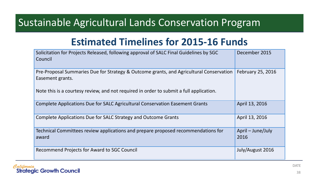### **Estimated Timelines for 2015-16 Funds**

| Solicitation for Projects Released, following approval of SALC Final Guidelines by SGC<br>Council           | December 2015             |
|-------------------------------------------------------------------------------------------------------------|---------------------------|
| Pre-Proposal Summaries Due for Strategy & Outcome grants, and Agricultural Conservation<br>Easement grants. | February 25, 2016         |
| Note this is a courtesy review, and not required in order to submit a full application.                     |                           |
| Complete Applications Due for SALC Agricultural Conservation Easement Grants                                | April 13, 2016            |
| Complete Applications Due for SALC Strategy and Outcome Grants                                              | April 13, 2016            |
| Technical Committees review applications and prepare proposed recommendations for<br>award                  | April – June/July<br>2016 |
| Recommend Projects for Award to SGC Council                                                                 | July/August 2016          |

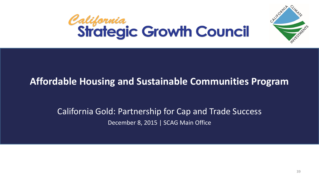



#### California Gold: Partnership for Cap and Trade Success December 8, 2015 | SCAG Main Office